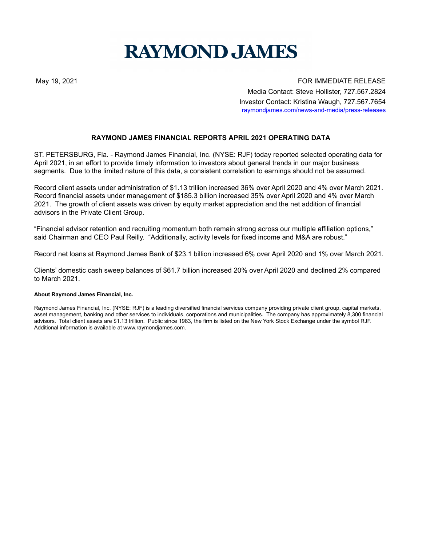## **RAYMOND JAMES**

May 19, 2021 The Second State of the Second State of the Second State of Texas FOR IMMEDIATE RELEASE Media Contact: Steve Hollister, 727.567.2824 Investor Contact: Kristina Waugh, 727.567.7654 raymondjames.com/news-and-media/press-releases

## **RAYMOND JAMES FINANCIAL REPORTS APRIL 2021 OPERATING DATA**

ST. PETERSBURG, Fla. - Raymond James Financial, Inc. (NYSE: RJF) today reported selected operating data for April 2021, in an effort to provide timely information to investors about general trends in our major business segments. Due to the limited nature of this data, a consistent correlation to earnings should not be assumed.

Record client assets under administration of \$1.13 trillion increased 36% over April 2020 and 4% over March 2021. Record financial assets under management of \$185.3 billion increased 35% over April 2020 and 4% over March 2021. The growth of client assets was driven by equity market appreciation and the net addition of financial advisors in the Private Client Group.

"Financial advisor retention and recruiting momentum both remain strong across our multiple affiliation options," said Chairman and CEO Paul Reilly. "Additionally, activity levels for fixed income and M&A are robust."

Record net loans at Raymond James Bank of \$23.1 billion increased 6% over April 2020 and 1% over March 2021.

Clients' domestic cash sweep balances of \$61.7 billion increased 20% over April 2020 and declined 2% compared to March 2021.

## **About Raymond James Financial, Inc.**

Raymond James Financial, Inc. (NYSE: RJF) is a leading diversified financial services company providing private client group, capital markets, asset management, banking and other services to individuals, corporations and municipalities. The company has approximately 8,300 financial advisors. Total client assets are \$1.13 trillion. Public since 1983, the firm is listed on the New York Stock Exchange under the symbol RJF. Additional information is available at www.raymondjames.com.